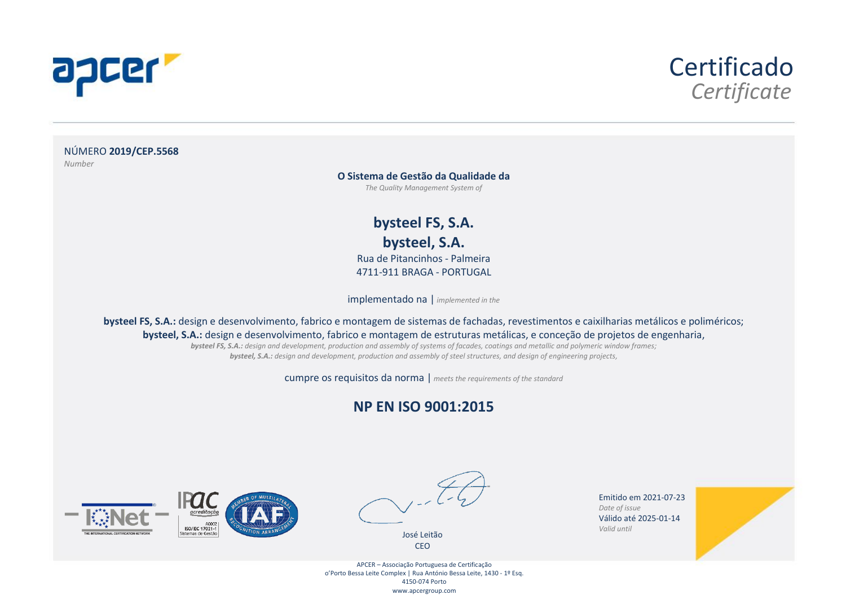



NÚMERO **2019/CEP.5568**  *Number*

**O Sistema de Gestão da Qualidade da** 

*The Quality Management System of* 

**bysteel FS, S.A. bysteel, S.A.** 

Rua de Pitancinhos - Palmeira 4711-911 BRAGA - PORTUGAL

implementado na | *implemented in the* 

**bysteel FS, S.A.:** design e desenvolvimento, fabrico e montagem de sistemas de fachadas, revestimentos e caixilharias metálicos e poliméricos; **bysteel, S.A.:** design e desenvolvimento, fabrico e montagem de estruturas metálicas, e conceção de projetos de engenharia,

*bysteel FS, S.A.: design and development, production and assembly of systems of facades, coatings and metallic and polymeric window frames; bysteel, S.A.: design and development, production and assembly of steel structures, and design of engineering projects,* 

cumpre os requisitos da norma | *meets the requirements of the standard*

#### **NP EN ISO 9001:2015**





José Leitão CEO

Emitido em 2021-07-23 *Date of issue*  Válido até 2025-01-14 *Valid until* 



APCER – Associação Portuguesa de Certificação o'Porto Bessa Leite Complex | Rua António Bessa Leite, 1430 - 1º Esq. 4150-074 Porto www.apcergroup.com